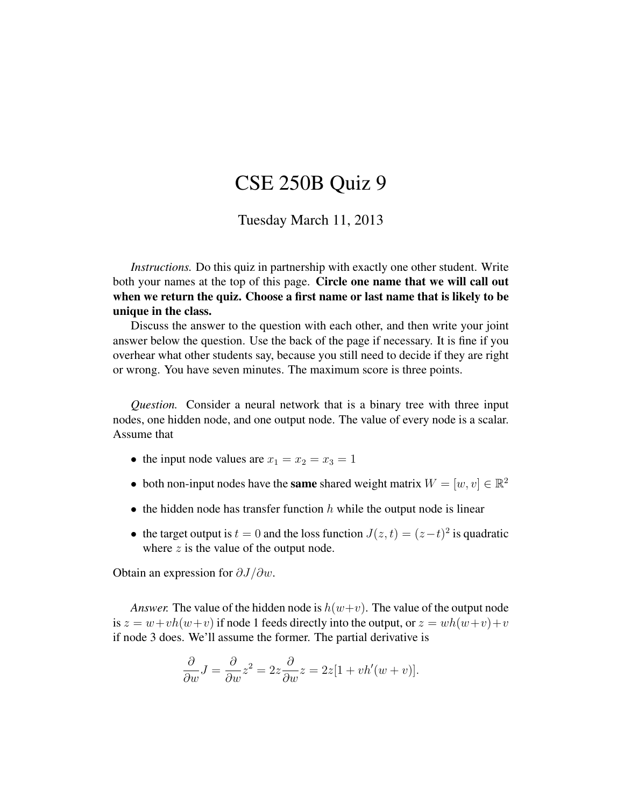## CSE 250B Quiz 9

## Tuesday March 11, 2013

*Instructions.* Do this quiz in partnership with exactly one other student. Write both your names at the top of this page. Circle one name that we will call out when we return the quiz. Choose a first name or last name that is likely to be unique in the class.

Discuss the answer to the question with each other, and then write your joint answer below the question. Use the back of the page if necessary. It is fine if you overhear what other students say, because you still need to decide if they are right or wrong. You have seven minutes. The maximum score is three points.

*Question.* Consider a neural network that is a binary tree with three input nodes, one hidden node, and one output node. The value of every node is a scalar. Assume that

- the input node values are  $x_1 = x_2 = x_3 = 1$
- both non-input nodes have the **same** shared weight matrix  $W = [w, v] \in \mathbb{R}^2$
- the hidden node has transfer function  $h$  while the output node is linear
- the target output is  $t = 0$  and the loss function  $J(z, t) = (z t)^2$  is quadratic where  $z$  is the value of the output node.

Obtain an expression for  $\partial J/\partial w$ .

*Answer.* The value of the hidden node is  $h(w+v)$ . The value of the output node is  $z = w + v h(w + v)$  if node 1 feeds directly into the output, or  $z = wh(w + v) + v$ if node 3 does. We'll assume the former. The partial derivative is

$$
\frac{\partial}{\partial w}J = \frac{\partial}{\partial w}z^2 = 2z\frac{\partial}{\partial w}z = 2z[1 + vh'(w + v)].
$$